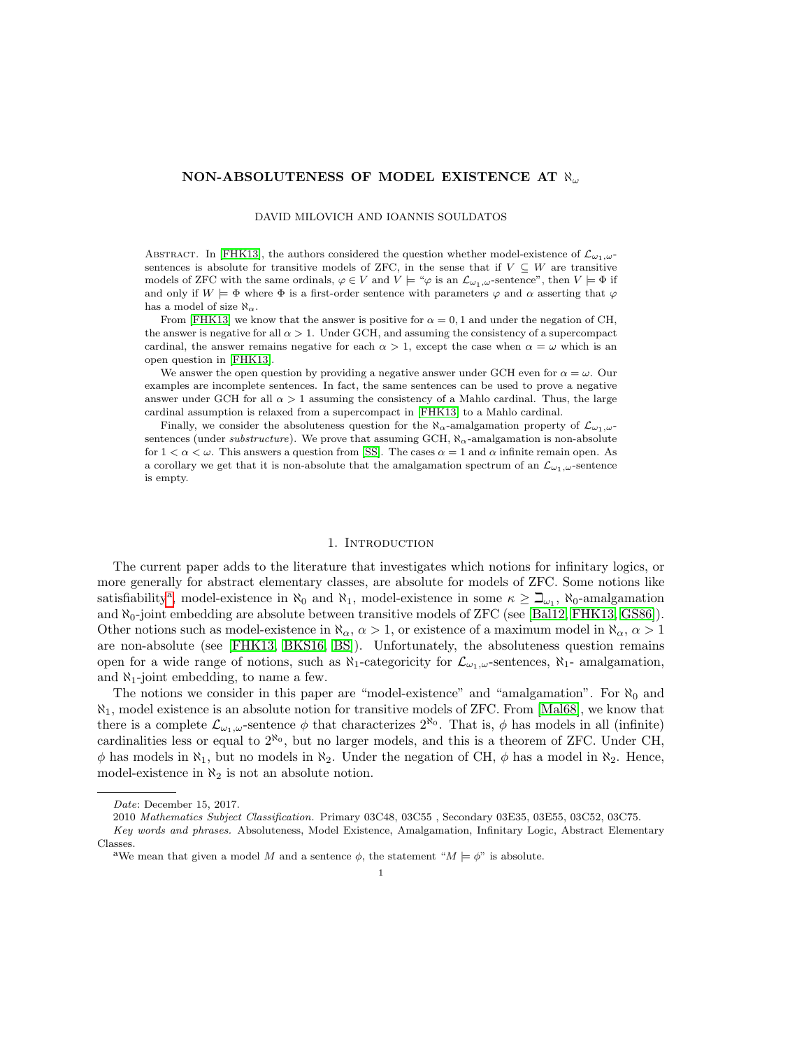# NON-ABSOLUTENESS OF MODEL EXISTENCE AT  $\aleph_{\omega}$

DAVID MILOVICH AND IOANNIS SOULDATOS

ABSTRACT. In [\[FHK13\]](#page-11-0), the authors considered the question whether model-existence of  $\mathcal{L}_{\omega_1,\omega}$ sentences is absolute for transitive models of ZFC, in the sense that if  $V \subseteq W$  are transitive models of ZFC with the same ordinals,  $\varphi \in V$  and  $V \models \varphi$  is an  $\mathcal{L}_{\omega_1,\omega}$ -sentence", then  $V \models \Phi$  if and only if  $W \models \Phi$  where  $\Phi$  is a first-order sentence with parameters  $\varphi$  and  $\alpha$  asserting that  $\varphi$ has a model of size  $\aleph_{\alpha}$ .

From [\[FHK13\]](#page-11-0) we know that the answer is positive for  $\alpha = 0, 1$  and under the negation of CH, the answer is negative for all  $\alpha > 1$ . Under GCH, and assuming the consistency of a supercompact cardinal, the answer remains negative for each  $\alpha > 1$ , except the case when  $\alpha = \omega$  which is an open question in [\[FHK13\]](#page-11-0).

We answer the open question by providing a negative answer under GCH even for  $\alpha = \omega$ . Our examples are incomplete sentences. In fact, the same sentences can be used to prove a negative answer under GCH for all  $\alpha > 1$  assuming the consistency of a Mahlo cardinal. Thus, the large cardinal assumption is relaxed from a supercompact in [\[FHK13\]](#page-11-0) to a Mahlo cardinal.

Finally, we consider the absoluteness question for the  $\aleph_{\alpha}$ -amalgamation property of  $\mathcal{L}_{\omega_1,\omega}$ sentences (under *substructure*). We prove that assuming GCH,  $\aleph_{\alpha}$ -amalgamation is non-absolute for  $1 < \alpha < \omega$ . This answers a question from [\[SS\]](#page-11-1). The cases  $\alpha = 1$  and  $\alpha$  infinite remain open. As a corollary we get that it is non-absolute that the amalgamation spectrum of an  $\mathcal{L}_{\omega_1,\omega}$ -sentence is empty.

#### 1. INTRODUCTION

The current paper adds to the literature that investigates which notions for infinitary logics, or more generally for abstract elementary classes, are absolute for models of ZFC. Some notions like s[a](#page-0-0)tisfiability<sup>a</sup>, model-existence in  $\aleph_0$  and  $\aleph_1$ , model-existence in some  $\kappa \geq \beth_{\omega_1}$ ,  $\aleph_0$ -amalgamation and  $\aleph_0$ -joint embedding are absolute between transitive models of ZFC (see [\[Bal12,](#page-11-2) [FHK13,](#page-11-0) [GS86\]](#page-11-3)). Other notions such as model-existence in  $\aleph_{\alpha}, \alpha > 1$ , or existence of a maximum model in  $\aleph_{\alpha}, \alpha > 1$ are non-absolute (see [\[FHK13,](#page-11-0) [BKS16,](#page-11-4) [BS\]](#page-11-5)). Unfortunately, the absoluteness question remains open for a wide range of notions, such as  $\aleph_1$ -categoricity for  $\mathcal{L}_{\omega_1,\omega}$ -sentences,  $\aleph_1$ - amalgamation, and  $\aleph_1$ -joint embedding, to name a few.

The notions we consider in this paper are "model-existence" and "amalgamation". For  $\aleph_0$  and  $\aleph_1$ , model existence is an absolute notion for transitive models of ZFC. From [\[Mal68\]](#page-11-6), we know that there is a complete  $\mathcal{L}_{\omega_1,\omega}$ -sentence  $\phi$  that characterizes  $2^{\aleph_0}$ . That is,  $\phi$  has models in all (infinite) cardinalities less or equal to  $2^{\aleph_0}$ , but no larger models, and this is a theorem of ZFC. Under CH,  $\phi$  has models in  $\aleph_1$ , but no models in  $\aleph_2$ . Under the negation of CH,  $\phi$  has a model in  $\aleph_2$ . Hence, model-existence in  $\aleph_2$  is not an absolute notion.

Date: December 15, 2017.

<sup>2010</sup> Mathematics Subject Classification. Primary 03C48, 03C55 , Secondary 03E35, 03E55, 03C52, 03C75.

Key words and phrases. Absoluteness, Model Existence, Amalgamation, Infinitary Logic, Abstract Elementary Classes.

<span id="page-0-0"></span><sup>&</sup>lt;sup>a</sup>We mean that given a model M and a sentence  $\phi$ , the statement " $M \models \phi$ " is absolute.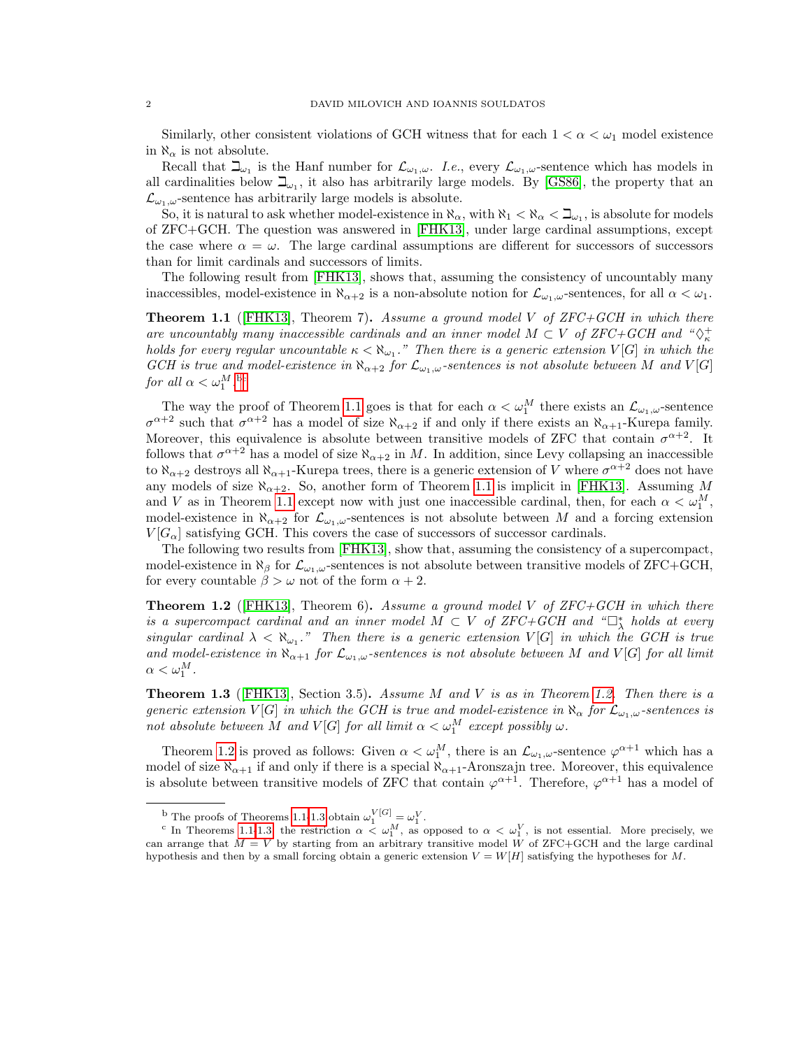Similarly, other consistent violations of GCH witness that for each  $1 < \alpha < \omega_1$  model existence in  $\aleph_{\alpha}$  is not absolute.

Recall that  $\Box_{\omega_1}$  is the Hanf number for  $\mathcal{L}_{\omega_1,\omega}$ . I.e., every  $\mathcal{L}_{\omega_1,\omega}$ -sentence which has models in all cardinalities below  $\beth_{\omega_1}$ , it also has arbitrarily large models. By [\[GS86\]](#page-11-3), the property that an  $\mathcal{L}_{\omega_1,\omega}$ -sentence has arbitrarily large models is absolute.

So, it is natural to ask whether model-existence in  $\aleph_{\alpha}$ , with  $\aleph_1 < \aleph_{\alpha} < \beth_{\omega_1}$ , is absolute for models of ZFC+GCH. The question was answered in [\[FHK13\]](#page-11-0), under large cardinal assumptions, except the case where  $\alpha = \omega$ . The large cardinal assumptions are different for successors of successors than for limit cardinals and successors of limits.

The following result from [\[FHK13\]](#page-11-0), shows that, assuming the consistency of uncountably many inaccessibles, model-existence in  $\aleph_{\alpha+2}$  is a non-absolute notion for  $\mathcal{L}_{\omega_1,\omega}$ -sentences, for all  $\alpha < \omega_1$ .

<span id="page-1-2"></span>**Theorem 1.1** ([\[FHK13\]](#page-11-0), Theorem 7). Assume a ground model V of  $ZFC+GCH$  in which there are uncountably many inaccessible cardinals and an inner model  $M \subset V$  of ZFC+GCH and " $\diamondsuit^+$  $k$  is a generic extension of  $\kappa < \aleph_{\omega_1}$ ." Then there is a generic extension  $V[G]$  in which the holds for every regular uncountable  $\kappa < \aleph_{\omega_1}$ ." Then there is a generic extension  $V[G]$  in which the GCH is true and model-existence in  $\aleph_{\alpha+2}$  for  $\mathcal{L}_{\omega_1,\omega}$ -sentences is not absolute between M and  $V[G]$ for all  $\alpha < \omega_1^M$ .

The way the proof of Theorem [1.1](#page-1-2) goes is that for each  $\alpha < \omega_1^M$  there exists an  $\mathcal{L}_{\omega_1,\omega}$ -sentence  $\sigma^{\alpha+2}$  such that  $\sigma^{\alpha+2}$  has a model of size  $\aleph_{\alpha+2}$  if and only if there exists an  $\aleph_{\alpha+1}$ -Kurepa family. Moreover, this equivalence is absolute between transitive models of ZFC that contain  $\sigma^{\alpha+2}$ . It follows that  $\sigma^{\alpha+2}$  has a model of size  $\aleph_{\alpha+2}$  in M. In addition, since Levy collapsing an inaccessible to  $\aleph_{\alpha+2}$  destroys all  $\aleph_{\alpha+1}$ -Kurepa trees, there is a generic extension of V where  $\sigma^{\alpha+2}$  does not have any models of size  $\aleph_{\alpha+2}$ . So, another form of Theorem [1.1](#page-1-2) is implicit in [\[FHK13\]](#page-11-0). Assuming M and V as in Theorem [1.1](#page-1-2) except now with just one inaccessible cardinal, then, for each  $\alpha < \omega_1^M$ , model-existence in  $\aleph_{\alpha+2}$  for  $\mathcal{L}_{\omega_1,\omega}$ -sentences is not absolute between M and a forcing extension  $V[G_{\alpha}]$  satisfying GCH. This covers the case of successors of successor cardinals.

The following two results from [\[FHK13\]](#page-11-0), show that, assuming the consistency of a supercompact, model-existence in  $\aleph_{\beta}$  for  $\mathcal{L}_{\omega_1,\omega}$ -sentences is not absolute between transitive models of ZFC+GCH, for every countable  $\beta > \omega$  not of the form  $\alpha + 2$ .

<span id="page-1-3"></span>**Theorem 1.2** ([\[FHK13\]](#page-11-0), Theorem 6). Assume a ground model V of  $ZFC+GCH$  in which there is a supercompact cardinal and an inner model  $M \subset V$  of ZFC+GCH and " $\Box_{\lambda}^{*}$  holds at every singular cardinal  $\lambda < \aleph_{\omega_1}$ ." Then there is a generic extension  $V[G]$  in which the GCH is true and model-existence in  $\aleph_{\alpha+1}$  for  $\mathcal{L}_{\omega_1,\omega}$ -sentences is not absolute between M and V[G] for all limit  $\alpha<\omega_1^M$ .

<span id="page-1-4"></span>**Theorem 1.3** ([\[FHK13\]](#page-11-0), Section 3.5). Assume M and V is as in Theorem [1.2.](#page-1-3) Then there is a generic extension V[G] in which the GCH is true and model-existence in  $\aleph_{\alpha}$  for  $\mathcal{L}_{\omega_1,\omega}$ -sentences is not absolute between M and  $V[G]$  for all limit  $\alpha < \omega_1^M$  except possibly  $\omega$ .

Theorem [1.2](#page-1-3) is proved as follows: Given  $\alpha < \omega_1^M$ , there is an  $\mathcal{L}_{\omega_1,\omega}$ -sentence  $\varphi^{\alpha+1}$  which has a model of size  $\aleph_{\alpha+1}$  if and only if there is a special  $\aleph_{\alpha+1}$ -Aronszajn tree. Moreover, this equivalence is absolute between transitive models of ZFC that contain  $\varphi^{\alpha+1}$ . Therefore,  $\varphi^{\alpha+1}$  has a model of

<span id="page-1-1"></span><span id="page-1-0"></span>

<sup>&</sup>lt;sup>b</sup> The proofs of Theorems [1.1-](#page-1-2)[1.3](#page-1-4) obtain  $\omega_1^{V[G]} = \omega_1^V$ .<br><sup>c</sup> In Theorems 1.1-[1.3,](#page-1-4) the restriction  $\alpha < \omega_1^M$ , as opposed to  $\alpha < \omega_1^V$ , is not essential. More precisely, we can arrange that  $M = V$  by starting from an arbitrary transitive model W of ZFC+GCH and the large cardinal hypothesis and then by a small forcing obtain a generic extension  $V = W[H]$  satisfying the hypotheses for M.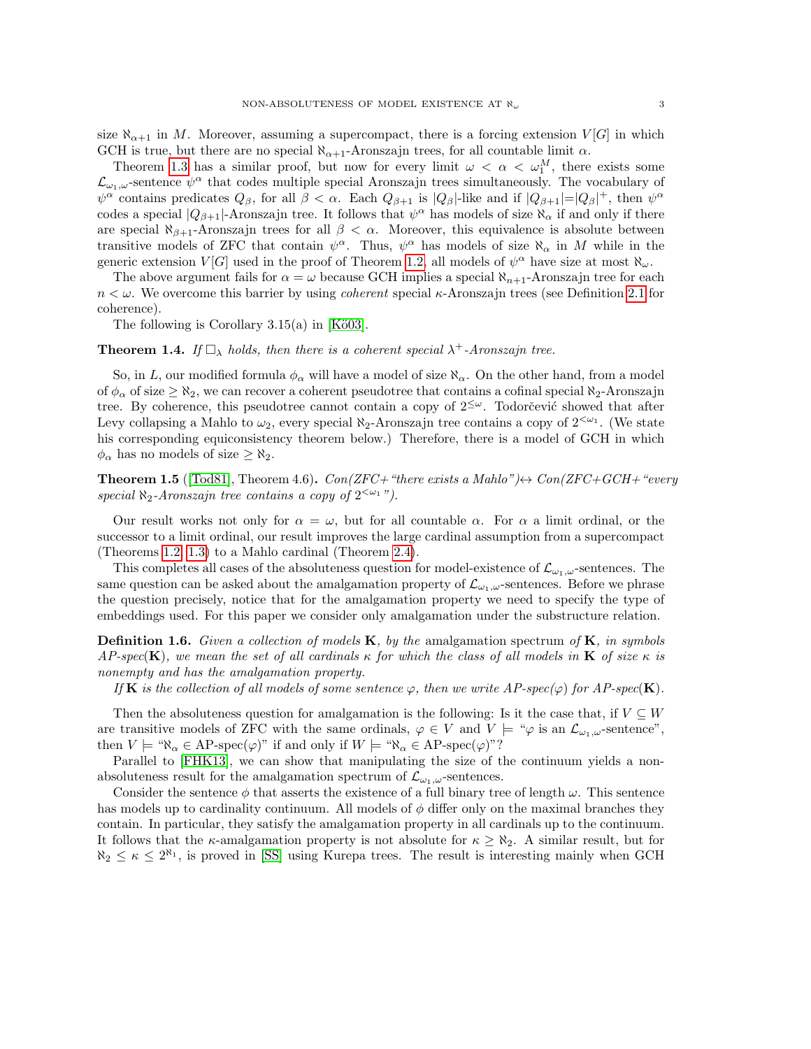size  $\aleph_{\alpha+1}$  in M. Moreover, assuming a supercompact, there is a forcing extension  $V[G]$  in which GCH is true, but there are no special  $\aleph_{\alpha+1}$ -Aronszajn trees, for all countable limit  $\alpha$ .

Theorem [1.3](#page-1-4) has a similar proof, but now for every limit  $\omega < \alpha < \omega_1^M$ , there exists some  $\mathcal{L}_{\omega_1,\omega}$ -sentence  $\psi^{\alpha}$  that codes multiple special Aronszajn trees simultaneously. The vocabulary of  $\psi^{\alpha}$  contains predicates  $Q_{\beta}$ , for all  $\beta < \alpha$ . Each  $Q_{\beta+1}$  is  $|Q_{\beta}|$ -like and if  $|Q_{\beta+1}| = |Q_{\beta}|^+$ , then  $\psi^{\alpha}$ codes a special  $|Q_{\beta+1}|$ -Aronszajn tree. It follows that  $\psi^{\alpha}$  has models of size  $\aleph_{\alpha}$  if and only if there are special  $\aleph_{\beta+1}$ -Aronszajn trees for all  $\beta < \alpha$ . Moreover, this equivalence is absolute between transitive models of ZFC that contain  $\psi^{\alpha}$ . Thus,  $\psi^{\alpha}$  has models of size  $\aleph_{\alpha}$  in M while in the generic extension  $V[G]$  used in the proof of Theorem [1.2,](#page-1-3) all models of  $\psi^{\alpha}$  have size at most  $\aleph_{\omega}$ .

The above argument fails for  $\alpha = \omega$  because GCH implies a special  $\aleph_{n+1}$ -Aronszajn tree for each  $n < \omega$ . We overcome this barrier by using *coherent* special  $\kappa$ -Aronszajn trees (see Definition [2.1](#page-3-0) for coherence).

The following is Corollary  $3.15(a)$  in [Kö03].

<span id="page-2-0"></span>**Theorem 1.4.** If  $\Box_{\lambda}$  holds, then there is a coherent special  $\lambda^+$ -Aronszajn tree.

So, in L, our modified formula  $\phi_{\alpha}$  will have a model of size  $\aleph_{\alpha}$ . On the other hand, from a model of  $\phi_\alpha$  of size  $\geq \aleph_2$ , we can recover a coherent pseudotree that contains a cofinal special  $\aleph_2$ -Aronszajn tree. By coherence, this pseudotree cannot contain a copy of  $2^{\leq \omega}$ . Todorčević showed that after Levy collapsing a Mahlo to  $\omega_2$ , every special  $\aleph_2$ -Aronszajn tree contains a copy of  $2^{<\omega_1}$ . (We state his corresponding equiconsistency theorem below.) Therefore, there is a model of GCH in which  $\phi_{\alpha}$  has no models of size  $\geq \aleph_2$ .

<span id="page-2-1"></span>**Theorem 1.5** ([\[Tod81\]](#page-11-8), Theorem 4.6).  $Con(ZFC + "there exists a Mahlo") \leftrightarrow Con(ZFC + GCH + "every$ special  $\aleph_2$ -Aronszajn tree contains a copy of  $2^{<\omega_1}$ ").

Our result works not only for  $\alpha = \omega$ , but for all countable  $\alpha$ . For  $\alpha$  a limit ordinal, or the successor to a limit ordinal, our result improves the large cardinal assumption from a supercompact (Theorems [1.2,](#page-1-3) [1.3\)](#page-1-4) to a Mahlo cardinal (Theorem [2.4\)](#page-5-0).

This completes all cases of the absoluteness question for model-existence of  $\mathcal{L}_{\omega_1,\omega}$ -sentences. The same question can be asked about the amalgamation property of  $\mathcal{L}_{\omega_1,\omega}$ -sentences. Before we phrase the question precisely, notice that for the amalgamation property we need to specify the type of embeddings used. For this paper we consider only amalgamation under the substructure relation.

**Definition 1.6.** Given a collection of models  $\mathbf{K}$ , by the amalgamation spectrum of  $\mathbf{K}$ , in symbols  $AP\text{-}spec(\mathbf{K})$ , we mean the set of all cardinals  $\kappa$  for which the class of all models in  $\mathbf{K}$  of size  $\kappa$  is nonempty and has the amalgamation property.

If **K** is the collection of all models of some sentence  $\varphi$ , then we write AP-spec( $\varphi$ ) for AP-spec(**K**).

Then the absoluteness question for amalgamation is the following: Is it the case that, if  $V \subseteq W$ are transitive models of ZFC with the same ordinals,  $\varphi \in V$  and  $V \models \varphi$  is an  $\mathcal{L}_{\omega_1,\omega}$ -sentence", then  $V \models " \aleph_{\alpha} \in AP\text{-}\mathrm{spec}(\varphi)"$  if and only if  $W \models " \aleph_{\alpha} \in AP\text{-}\mathrm{spec}(\varphi)"$ ?

Parallel to [\[FHK13\]](#page-11-0), we can show that manipulating the size of the continuum yields a nonabsoluteness result for the amalgamation spectrum of  $\mathcal{L}_{\omega_1,\omega}$ -sentences.

Consider the sentence  $\phi$  that asserts the existence of a full binary tree of length  $\omega$ . This sentence has models up to cardinality continuum. All models of  $\phi$  differ only on the maximal branches they contain. In particular, they satisfy the amalgamation property in all cardinals up to the continuum. It follows that the  $\kappa$ -amalgamation property is not absolute for  $\kappa \geq \aleph_2$ . A similar result, but for  $\aleph_2 \leq \kappa \leq 2^{\aleph_1}$ , is proved in [\[SS\]](#page-11-1) using Kurepa trees. The result is interesting mainly when GCH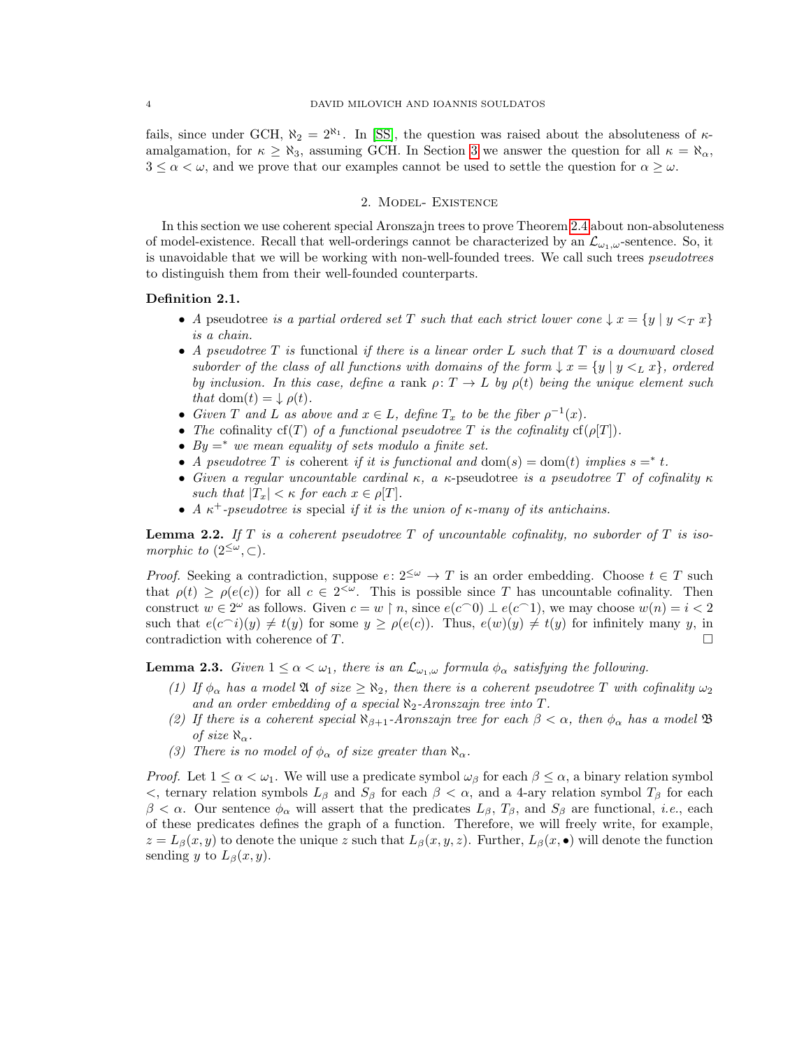fails, since under GCH,  $\aleph_2 = 2^{\aleph_1}$ . In [\[SS\]](#page-11-1), the question was raised about the absoluteness of  $\kappa$ amalgamation, for  $\kappa \ge \aleph_3$ , assuming GCH. In Section [3](#page-5-1) we answer the question for all  $\kappa = \aleph_\alpha$ ,  $3 \leq \alpha < \omega$ , and we prove that our examples cannot be used to settle the question for  $\alpha \geq \omega$ .

### 2. Model- Existence

In this section we use coherent special Aronszajn trees to prove Theorem [2.4](#page-5-0) about non-absoluteness of model-existence. Recall that well-orderings cannot be characterized by an  $\mathcal{L}_{\omega_1,\omega}$ -sentence. So, it is unavoidable that we will be working with non-well-founded trees. We call such trees *pseudotrees* to distinguish them from their well-founded counterparts.

## <span id="page-3-0"></span>Definition 2.1.

- A pseudotree is a partial ordered set T such that each strict lower cone  $\downarrow x = \{y \mid y \leq_T x\}$ is a chain.
- A pseudotree  $T$  is functional if there is a linear order  $L$  such that  $T$  is a downward closed suborder of the class of all functions with domains of the form  $\downarrow x = \{y \mid y \leq_L x\}$ , ordered by inclusion. In this case, define a rank  $\rho: T \to L$  by  $\rho(t)$  being the unique element such that dom(t) =  $\downarrow \rho(t)$ .
- Given T and L as above and  $x \in L$ , define  $T_x$  to be the fiber  $\rho^{-1}(x)$ .
- The cofinality cf(T) of a functional pseudotree T is the cofinality cf( $\rho[T]$ ).
- $By =^*$  we mean equality of sets modulo a finite set.
- A pseudotree T is coherent if it is functional and dom(s) = dom(t) implies  $s = * t$ .
- Given a regular uncountable cardinal κ, a κ-pseudotree is a pseudotree T of cofinality  $\kappa$ such that  $|T_x| < \kappa$  for each  $x \in \rho[T]$ .
- A  $\kappa^+$ -pseudotree is special if it is the union of  $\kappa$ -many of its antichains.

<span id="page-3-2"></span>**Lemma 2.2.** If T is a coherent pseudotree T of uncountable cofinality, no suborder of T is isomorphic to  $(2^{\leq \omega}, \subset)$ .

*Proof.* Seeking a contradiction, suppose  $e: 2^{\leq \omega} \to T$  is an order embedding. Choose  $t \in T$  such that  $\rho(t) \ge \rho(e(c))$  for all  $c \in 2^{<\omega}$ . This is possible since T has uncountable cofinality. Then construct  $w \in 2^{\omega}$  as follows. Given  $c = w \restriction n$ , since  $e(c \cap 0) \perp e(c \cap 1)$ , we may choose  $w(n) = i < 2$ such that  $e(c_i)(y) \neq t(y)$  for some  $y \geq \rho(e(c))$ . Thus,  $e(w)(y) \neq t(y)$  for infinitely many y, in contradiction with coherence of T.

<span id="page-3-1"></span>**Lemma 2.3.** Given  $1 \leq \alpha < \omega_1$ , there is an  $\mathcal{L}_{\omega_1,\omega}$  formula  $\phi_\alpha$  satisfying the following.

- (1) If  $\phi_{\alpha}$  has a model  $\mathfrak{A}$  of size  $\geq \aleph_2$ , then there is a coherent pseudotree T with cofinality  $\omega_2$ and an order embedding of a special  $\aleph_2$ -Aronszajn tree into T.
- (2) If there is a coherent special  $\aleph_{\beta+1}$ -Aronszajn tree for each  $\beta < \alpha$ , then  $\phi_\alpha$  has a model  $\mathfrak{B}$ of size  $\aleph_{\alpha}$ .
- (3) There is no model of  $\phi_{\alpha}$  of size greater than  $\aleph_{\alpha}$ .

*Proof.* Let  $1 \leq \alpha < \omega_1$ . We will use a predicate symbol  $\omega_\beta$  for each  $\beta \leq \alpha$ , a binary relation symbol  $\lt$ , ternary relation symbols  $L_\beta$  and  $S_\beta$  for each  $\beta < \alpha$ , and a 4-ary relation symbol  $T_\beta$  for each  $\beta < \alpha$ . Our sentence  $\phi_{\alpha}$  will assert that the predicates  $L_{\beta}$ ,  $T_{\beta}$ , and  $S_{\beta}$  are functional, *i.e.*, each of these predicates defines the graph of a function. Therefore, we will freely write, for example,  $z = L_\beta(x, y)$  to denote the unique z such that  $L_\beta(x, y, z)$ . Further,  $L_\beta(x, \bullet)$  will denote the function sending y to  $L_{\beta}(x, y)$ .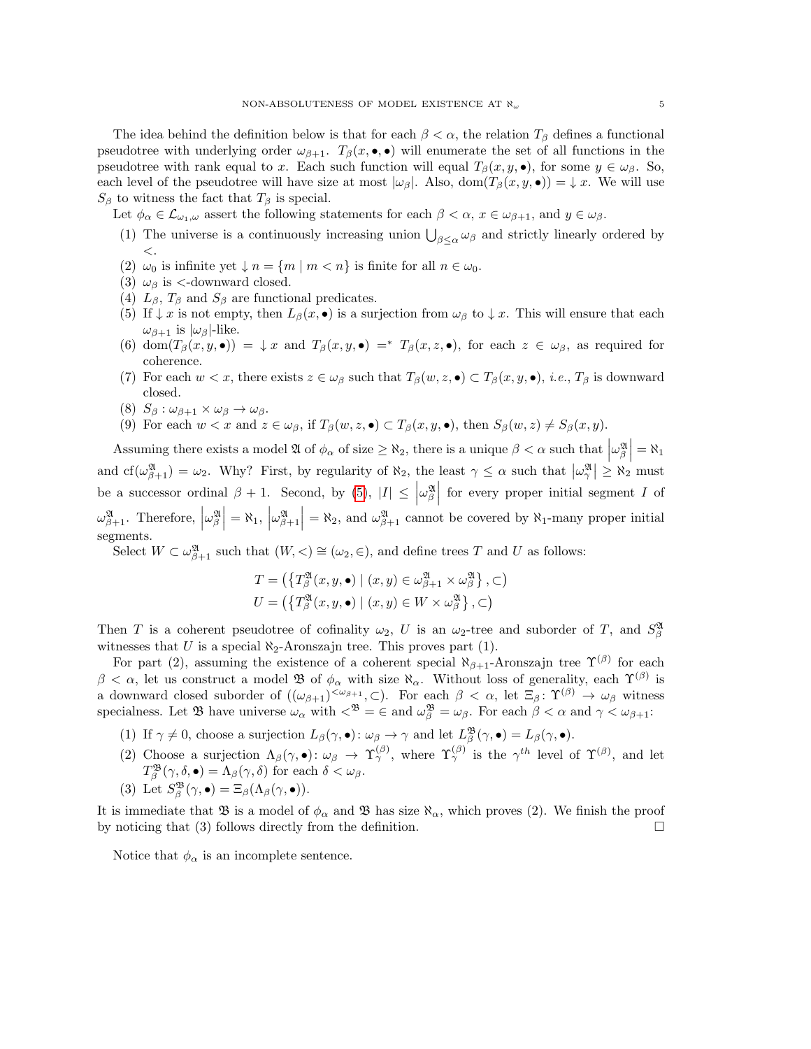The idea behind the definition below is that for each  $\beta < \alpha$ , the relation  $T_{\beta}$  defines a functional pseudotree with underlying order  $\omega_{\beta+1}$ .  $T_{\beta}(x, \bullet, \bullet)$  will enumerate the set of all functions in the pseudotree with rank equal to x. Each such function will equal  $T_\beta(x, y, \bullet)$ , for some  $y \in \omega_\beta$ . So, each level of the pseudotree will have size at most  $|\omega_{\beta}|$ . Also, dom $(T_{\beta}(x, y, \bullet)) = \downarrow x$ . We will use  $S_{\beta}$  to witness the fact that  $T_{\beta}$  is special.

Let  $\phi_{\alpha} \in \mathcal{L}_{\omega_1,\omega}$  assert the following statements for each  $\beta < \alpha$ ,  $x \in \omega_{\beta+1}$ , and  $y \in \omega_{\beta}$ .

- (1) The universe is a continuously increasing union  $\bigcup_{\beta \leq \alpha} \omega_{\beta}$  and strictly linearly ordered by  $\lt$ .
- (2)  $\omega_0$  is infinite yet  $\downarrow$  n = {m | m < n} is finite for all  $n \in \omega_0$ .
- (3)  $\omega_{\beta}$  is <-downward closed.
- (4)  $L_{\beta}$ ,  $T_{\beta}$  and  $S_{\beta}$  are functional predicates.
- <span id="page-4-0"></span>(5) If  $\downarrow x$  is not empty, then  $L_{\beta}(x, \bullet)$  is a surjection from  $\omega_{\beta}$  to  $\downarrow x$ . This will ensure that each  $\omega_{\beta+1}$  is  $|\omega_{\beta}|$ -like.
- (6) dom $(T_\beta(x,y,\bullet)) = \downarrow x$  and  $T_\beta(x,y,\bullet) =^* T_\beta(x,z,\bullet)$ , for each  $z \in \omega_\beta$ , as required for coherence.
- (7) For each  $w < x$ , there exists  $z \in \omega_{\beta}$  such that  $T_{\beta}(w, z, \bullet) \subset T_{\beta}(x, y, \bullet)$ , *i.e.*,  $T_{\beta}$  is downward closed.
- (8)  $S_{\beta}: \omega_{\beta+1} \times \omega_{\beta} \rightarrow \omega_{\beta}.$
- (9) For each  $w < x$  and  $z \in \omega_{\beta}$ , if  $T_{\beta}(w, z, \bullet) \subset T_{\beta}(x, y, \bullet)$ , then  $S_{\beta}(w, z) \neq S_{\beta}(x, y)$ .

Assuming there exists a model  $\mathfrak{A}$  of  $\phi_{\alpha}$  of size  $\geq \aleph_2$ , there is a unique  $\beta < \alpha$  such that  $\left|\omega_{\beta}^{\mathfrak{A}}\right| = \aleph_1$ and  $cf(\omega_{\beta+1}^{\mathfrak{A}}) = \omega_2$ . Why? First, by regularity of  $\aleph_2$ , the least  $\gamma \leq \alpha$  such that  $|\omega_{\gamma}^{\mathfrak{A}}| \geq \aleph_2$  must be a successor ordinal  $\beta + 1$ . Second, by [\(5\)](#page-4-0),  $|I| \leq \left| \omega_{\beta}^{\mathfrak{A}} \right|$  for every proper initial segment I of  $\omega_{\beta+1}^{\mathfrak{A}}$ . Therefore,  $|\omega_{\beta}^{\mathfrak{A}}| = \aleph_1$ ,  $|\omega_{\beta+1}^{\mathfrak{A}}| = \aleph_2$ , and  $\omega_{\beta+1}^{\mathfrak{A}}$  cannot be covered by  $\aleph_1$ -many proper initial segments.

Select  $W \subset \omega_{\beta+1}^{\mathfrak{A}}$  such that  $(W, \leq) \cong (\omega_2, \in)$ , and define trees T and U as follows:

$$
T = \left( \{ T_{\beta}^{\mathfrak{A}}(x, y, \bullet) \mid (x, y) \in \omega_{\beta+1}^{\mathfrak{A}} \times \omega_{\beta}^{\mathfrak{A}} \}, \subset \right)
$$
  

$$
U = \left( \{ T_{\beta}^{\mathfrak{A}}(x, y, \bullet) \mid (x, y) \in W \times \omega_{\beta}^{\mathfrak{A}} \}, \subset \right)
$$

Then T is a coherent pseudotree of cofinality  $\omega_2$ , U is an  $\omega_2$ -tree and suborder of T, and  $S^{\mathfrak{A}}_{\beta}$ witnesses that U is a special  $\aleph_2$ -Aronszajn tree. This proves part (1).

For part (2), assuming the existence of a coherent special  $\aleph_{\beta+1}$ -Aronszajn tree  $\Upsilon^{(\beta)}$  for each  $\beta < \alpha$ , let us construct a model **B** of  $\phi_{\alpha}$  with size  $\aleph_{\alpha}$ . Without loss of generality, each  $\Upsilon^{(\beta)}$  is a downward closed suborder of  $((\omega_{\beta+1})^{\langle \omega_{\beta+1}, \zeta \rangle})$ . For each  $\beta < \alpha$ , let  $\Xi_{\beta} \colon \Upsilon^{(\beta)} \to \omega_{\beta}$  witness specialness. Let  $\mathfrak{B}$  have universe  $\omega_{\alpha}$  with  $\langle \mathfrak{B} \rangle = \infty$  and  $\omega_{\beta} = \omega_{\beta}$ . For each  $\beta < \alpha$  and  $\gamma < \omega_{\beta+1}$ :

- (1) If  $\gamma \neq 0$ , choose a surjection  $L_{\beta}(\gamma, \bullet) : \omega_{\beta} \to \gamma$  and let  $L_{\beta}^{\mathfrak{B}}(\gamma, \bullet) = L_{\beta}(\gamma, \bullet)$ .
- (2) Choose a surjection  $\Lambda_{\beta}(\gamma,\bullet): \omega_{\beta} \to \Upsilon_{\gamma}^{(\beta)}$ , where  $\Upsilon_{\gamma}^{(\beta)}$  is the  $\gamma^{th}$  level of  $\Upsilon^{(\beta)}$ , and let  $T^{\mathfrak{B}}_{\beta}(\gamma,\delta,\bullet) = \Lambda_{\beta}(\gamma,\delta)$  for each  $\delta < \omega_{\beta}$ .
- (3) Let  $S^{\mathfrak{B}}_{\beta}(\gamma, \bullet) = \Xi_{\beta}(\Lambda_{\beta}(\gamma, \bullet)).$

It is immediate that  $\mathfrak{B}$  is a model of  $\phi_{\alpha}$  and  $\mathfrak{B}$  has size  $\aleph_{\alpha}$ , which proves (2). We finish the proof by noticing that (3) follows directly from the definition.  $\Box$ 

Notice that  $\phi_{\alpha}$  is an incomplete sentence.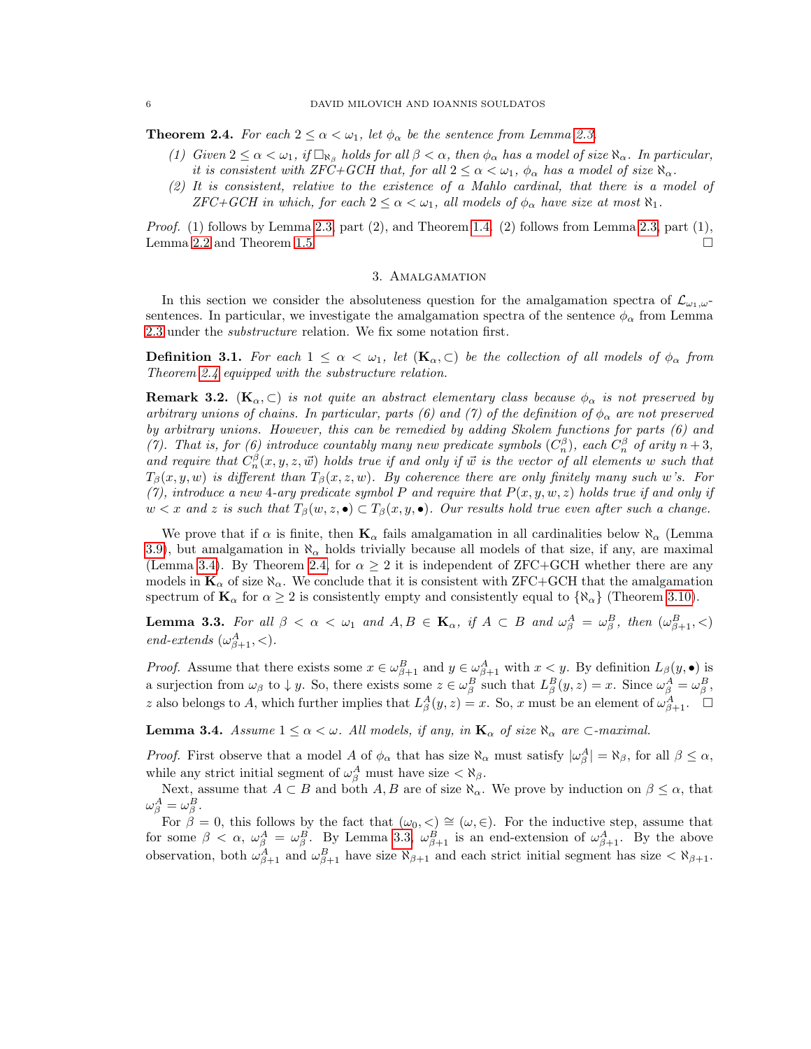#### 6 DAVID MILOVICH AND IOANNIS SOULDATOS

<span id="page-5-0"></span>**Theorem 2.4.** For each  $2 \leq \alpha < \omega_1$ , let  $\phi_\alpha$  be the sentence from Lemma [2.3.](#page-3-1)

- (1) Given  $2 \leq \alpha < \omega_1$ , if  $\Box_{\aleph_{\beta}}$  holds for all  $\beta < \alpha$ , then  $\phi_{\alpha}$  has a model of size  $\aleph_{\alpha}$ . In particular, it is consistent with ZFC+GCH that, for all  $2 \leq \alpha < \omega_1$ ,  $\phi_\alpha$  has a model of size  $\aleph_\alpha$ .
- (2) It is consistent, relative to the existence of a Mahlo cardinal, that there is a model of  $ZFC+GCH$  in which, for each  $2 \leq \alpha < \omega_1$ , all models of  $\phi_\alpha$  have size at most  $\aleph_1$ .

*Proof.* (1) follows by Lemma [2.3,](#page-3-1) part  $(2)$ , and Theorem [1.4.](#page-2-0) (2) follows from Lemma 2.3, part  $(1)$ , Lemma [2.2](#page-3-2) and Theorem [1.5.](#page-2-1)

# 3. Amalgamation

<span id="page-5-1"></span>In this section we consider the absoluteness question for the amalgamation spectra of  $\mathcal{L}_{\omega_1,\omega}$ sentences. In particular, we investigate the amalgamation spectra of the sentence  $\phi_{\alpha}$  from Lemma [2.3](#page-3-1) under the *substructure* relation. We fix some notation first.

**Definition 3.1.** For each  $1 \leq \alpha < \omega_1$ , let  $(K_\alpha, \subset)$  be the collection of all models of  $\phi_\alpha$  from Theorem [2.4](#page-5-0) equipped with the substructure relation.

**Remark 3.2.** ( $\mathbf{K}_{\alpha}, \subset$ ) is not quite an abstract elementary class because  $\phi_{\alpha}$  is not preserved by arbitrary unions of chains. In particular, parts (6) and (7) of the definition of  $\phi_{\alpha}$  are not preserved by arbitrary unions. However, this can be remedied by adding Skolem functions for parts (6) and (7). That is, for (6) introduce countably many new predicate symbols  $(C_n^{\beta})$ , each  $C_n^{\beta}$  of arity  $n+3$ , and require that  $C_n^{\beta}(x, y, z, \vec{w})$  holds true if and only if  $\vec{w}$  is the vector of all elements w such that  $T_{\beta}(x, y, w)$  is different than  $T_{\beta}(x, z, w)$ . By coherence there are only finitely many such w's. For (7), introduce a new 4-ary predicate symbol P and require that  $P(x, y, w, z)$  holds true if and only if  $w < x$  and z is such that  $T_\beta(w, z, \bullet) \subset T_\beta(x, y, \bullet)$ . Our results hold true even after such a change.

We prove that if  $\alpha$  is finite, then  $\mathbf{K}_{\alpha}$  fails amalgamation in all cardinalities below  $\aleph_{\alpha}$  (Lemma [3.9\)](#page-7-0), but amalgamation in  $\aleph_{\alpha}$  holds trivially because all models of that size, if any, are maximal (Lemma [3.4\)](#page-5-2). By Theorem [2.4,](#page-5-0) for  $\alpha \geq 2$  it is independent of ZFC+GCH whether there are any models in  $\mathbf{K}_{\alpha}$  of size  $\aleph_{\alpha}$ . We conclude that it is consistent with ZFC+GCH that the amalgamation spectrum of  $\mathbf{K}_{\alpha}$  for  $\alpha \geq 2$  is consistently empty and consistently equal to  $\{\aleph_{\alpha}\}$  (Theorem [3.10\)](#page-7-1).

<span id="page-5-3"></span>**Lemma 3.3.** For all  $\beta < \alpha < \omega_1$  and  $A, B \in \mathbf{K}_{\alpha}$ , if  $A \subset B$  and  $\omega_{\beta}^A = \omega_{\beta}^B$ , then  $(\omega_{\beta+1}^B, <)$ end-extends  $(\omega_{\beta+1}^A, <)$ .

*Proof.* Assume that there exists some  $x \in \omega_{\beta+1}^B$  and  $y \in \omega_{\beta+1}^A$  with  $x < y$ . By definition  $L_\beta(y, \bullet)$  is a surjection from  $\omega_{\beta}$  to  $\downarrow y$ . So, there exists some  $z \in \omega_{\beta}^{B}$  such that  $L_{\beta}^{B}(y, z) = x$ . Since  $\omega_{\beta}^{A} = \omega_{\beta}^{B}$ , z also belongs to A, which further implies that  $L^A_\beta(y, z) = x$ . So, x must be an element of  $\omega^A_{\beta+1}$ .  $\square$ 

<span id="page-5-2"></span>**Lemma 3.4.** Assume  $1 \leq \alpha < \omega$ . All models, if any, in  $\mathbf{K}_{\alpha}$  of size  $\aleph_{\alpha}$  are  $\sub{\text{-}maximal.}$ 

*Proof.* First observe that a model A of  $\phi_{\alpha}$  that has size  $\aleph_{\alpha}$  must satisfy  $|\omega_{\beta}^A| = \aleph_{\beta}$ , for all  $\beta \leq \alpha$ , while any strict initial segment of  $\omega_{\beta}^A$  must have size  $\langle \aleph_{\beta}$ .

Next, assume that  $A \subset B$  and both  $A, B$  are of size  $\aleph_{\alpha}$ . We prove by induction on  $\beta \leq \alpha$ , that  $\omega_{\beta}^{A}=\omega_{\beta}^{B}.$ 

For  $\tilde{\beta} = 0$ , this follows by the fact that  $(\omega_0, <) \cong (\omega, \in)$ . For the inductive step, assume that for some  $\beta < \alpha$ ,  $\omega_{\beta}^A = \omega_{\beta}^B$ . By Lemma [3.3,](#page-5-3)  $\omega_{\beta+1}^B$  is an end-extension of  $\omega_{\beta+1}^A$ . By the above observation, both  $\omega_{\beta+1}^A$  and  $\omega_{\beta+1}^B$  have size  $\aleph_{\beta+1}$  and each strict initial segment has size  $\lt \aleph_{\beta+1}$ .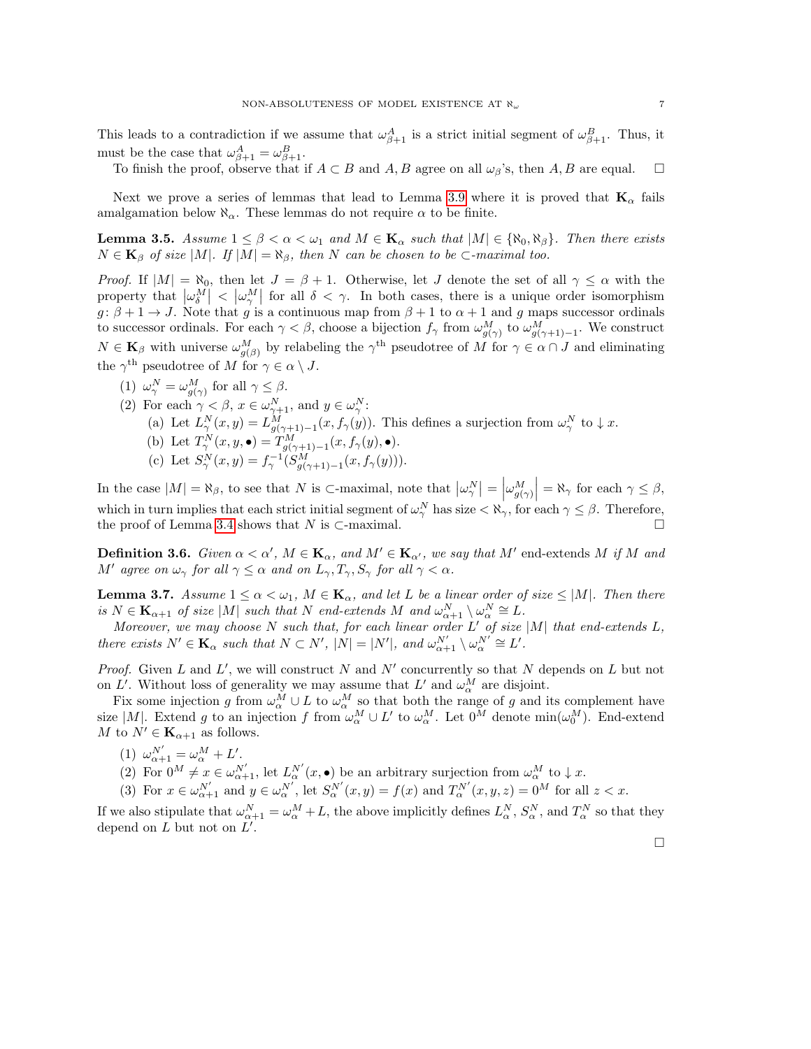This leads to a contradiction if we assume that  $\omega_{\beta+1}^A$  is a strict initial segment of  $\omega_{\beta+1}^B$ . Thus, it must be the case that  $\omega_{\beta+1}^A = \omega_{\beta+1}^B$ .

To finish the proof, observe that if  $A \subset B$  and  $A, B$  agree on all  $\omega_{\beta}$ 's, then  $A, B$  are equal.  $\square$ 

Next we prove a series of lemmas that lead to Lemma [3.9](#page-7-0) where it is proved that  $\mathbf{K}_{\alpha}$  fails amalgamation below  $\aleph_{\alpha}$ . These lemmas do not require  $\alpha$  to be finite.

<span id="page-6-1"></span>**Lemma 3.5.** Assume  $1 \leq \beta < \alpha < \omega_1$  and  $M \in \mathbf{K}_{\alpha}$  such that  $|M| \in \{\aleph_0, \aleph_{\beta}\}\.$  Then there exists  $N \in \mathbf{K}_{\beta}$  of size |M|. If  $|M| = \aleph_{\beta}$ , then N can be chosen to be ⊂-maximal too.

*Proof.* If  $|M| = \aleph_0$ , then let  $J = \beta + 1$ . Otherwise, let J denote the set of all  $\gamma \leq \alpha$  with the property that  $|\omega_{\delta}^M| < |\omega_{\gamma}^M|$  for all  $\delta < \gamma$ . In both cases, there is a unique order isomorphism  $g: \beta + 1 \to J$ . Note that g is a continuous map from  $\beta + 1$  to  $\alpha + 1$  and g maps successor ordinals to successor ordinals. For each  $\gamma < \beta$ , choose a bijection  $f_{\gamma}$  from  $\omega_{g(\gamma)}^M$  to  $\omega_{g(\gamma+1)-1}^M$ . We construct  $N \in \mathbf{K}_{\beta}$  with universe  $\omega_{g(\beta)}^M$  by relabeling the  $\gamma^{\text{th}}$  pseudotree of M for  $\gamma \in \alpha \cap J$  and eliminating the  $\gamma^{\text{th}}$  pseudotree of M for  $\gamma \in \alpha \setminus J$ .

(1)  $\omega_{\gamma}^N = \omega_{g(\gamma)}^M$  for all  $\gamma \leq \beta$ . (2) For each  $\gamma < \beta$ ,  $x \in \omega_{\gamma+1}^N$ , and  $y \in \omega_{\gamma}^N$ : (a) Let  $L^N_\gamma(x,y) = L^M_{g(\gamma+1)-1}(x, f_\gamma(y))$ . This defines a surjection from  $\omega^N_\gamma$  to  $\downarrow x$ . (b) Let  $T_{\gamma}^N(x, y, \bullet) = T_{g(\gamma+1)-1}^M(x, f_{\gamma}(y), \bullet).$ (c) Let  $S^N_\gamma(x,y) = f^{-1}_{\gamma} (S^M_{g(\gamma+1)-1}(x, f_\gamma(y))).$ 

In the case  $|M| = \aleph_{\beta}$ , to see that  $N$  is  $\subset$ -maximal, note that  $|\omega_{\gamma}^{N}| = |\omega_{g(\gamma)}^{M}| = \aleph_{\gamma}$  for each  $\gamma \leq \beta$ , which in turn implies that each strict initial segment of  $\omega_{\gamma}^{N}$  has size  $\langle \aleph_{\gamma}, \text{ for each } \gamma \leq \beta$ . Therefore, the proof of Lemma [3.4](#page-5-2) shows that N is  $\subset$ -maximal.  $\square$ 

**Definition 3.6.** Given  $\alpha < \alpha'$ ,  $M \in \mathbf{K}_{\alpha}$ , and  $M' \in \mathbf{K}_{\alpha'}$ , we say that M' end-extends M if M and M' agree on  $\omega_{\gamma}$  for all  $\gamma \leq \alpha$  and on  $L_{\gamma}, T_{\gamma}, S_{\gamma}$  for all  $\gamma < \alpha$ .

<span id="page-6-0"></span>**Lemma 3.7.** Assume  $1 \le \alpha < \omega_1$ ,  $M \in \mathbf{K}_{\alpha}$ , and let L be a linear order of size  $\le |M|$ . Then there is  $N \in \mathbf{K}_{\alpha+1}$  of size  $|M|$  such that N end-extends M and  $\omega_{\alpha+1}^N \setminus \omega_{\alpha}^N \cong L$ .

Moreover, we may choose N such that, for each linear order  $L'$  of size  $|M|$  that end-extends  $L$ , there exists  $N' \in \mathbf{K}_{\alpha}$  such that  $N \subset N'$ ,  $|N| = |N'|$ , and  $\omega_{\alpha+1}^{N'} \setminus \omega_{\alpha}^{N'} \cong L'$ .

Proof. Given  $L$  and  $L'$ , we will construct  $N$  and  $N'$  concurrently so that  $N$  depends on  $L$  but not on L'. Without loss of generality we may assume that L' and  $\omega_{\alpha}^M$  are disjoint.

Fix some injection g from  $\omega_{\alpha}^M \cup L$  to  $\omega_{\alpha}^M$  so that both the range of g and its complement have size |M|. Extend g to an injection f from  $\omega_\alpha^M \cup L'$  to  $\omega_\alpha^M$ . Let  $0^M$  denote  $\min(\omega_0^M)$ . End-extend M to  $N' \in \mathbf{K}_{\alpha+1}$  as follows.

- (1)  $\omega_{\alpha+1}^{N'} = \omega_{\alpha}^{M} + L'.$
- (2) For  $0^M \neq x \in \omega_{\alpha+1}^{N'}$ , let  $L_{\alpha}^{N'}(x, \bullet)$  be an arbitrary surjection from  $\omega_{\alpha}^M$  to  $\downarrow x$ .
- (3) For  $x \in \omega_{\alpha+1}^{N'}$  and  $y \in \omega_{\alpha}^{N'}$ , let  $S_{\alpha}^{N'}(x,y) = f(x)$  and  $T_{\alpha}^{N'}(x,y,z) = 0^M$  for all  $z < x$ .

If we also stipulate that  $\omega_{\alpha+1}^N = \omega_{\alpha}^M + L$ , the above implicitly defines  $L_{\alpha}^N$ ,  $S_{\alpha}^N$ , and  $T_{\alpha}^N$  so that they depend on  $L$  but not on  $L'$ .

 $\Box$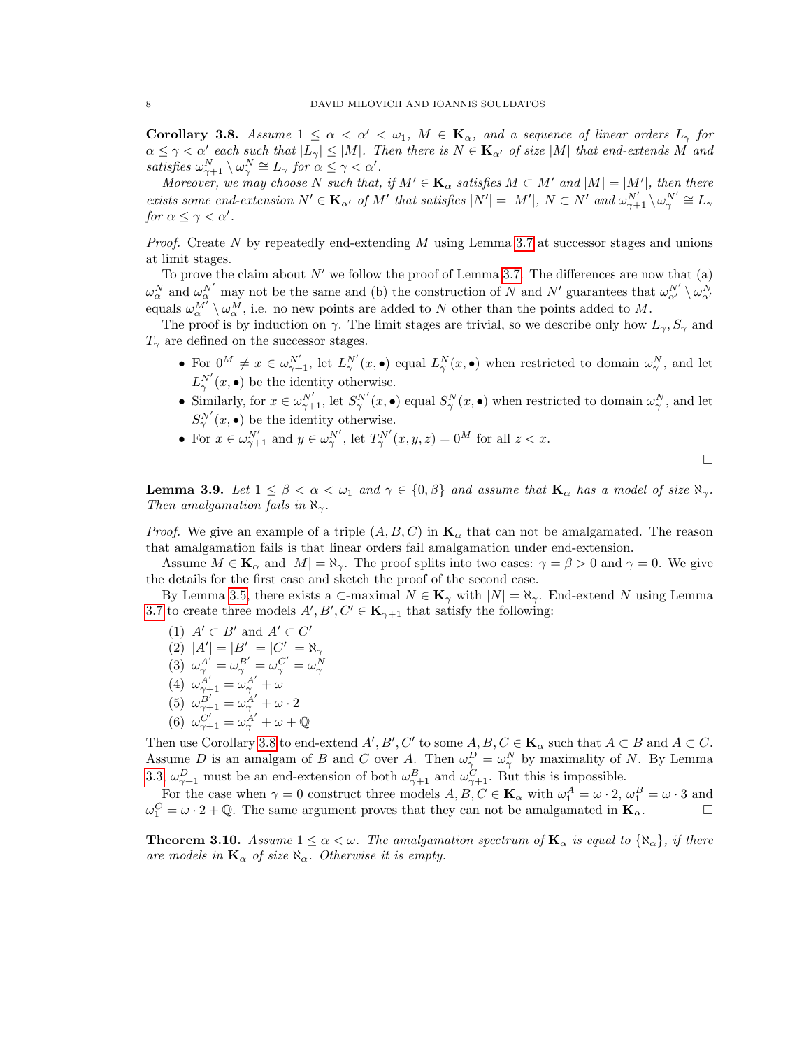<span id="page-7-2"></span>Corollary 3.8. Assume  $1 \leq \alpha < \alpha' < \omega_1$ ,  $M \in \mathbf{K}_{\alpha}$ , and a sequence of linear orders  $L_{\gamma}$  for  $\alpha \leq \gamma < \alpha'$  each such that  $|L_{\gamma}| \leq |M|$ . Then there is  $N \in \mathbf{K}_{\alpha'}$  of size |M| that end-extends M and satisfies  $\omega_{\gamma+1}^N \setminus \omega_{\gamma}^N \cong L_{\gamma}$  for  $\alpha \leq \gamma < \alpha'$ .

Moreover, we may choose N such that, if  $M' \in \mathbf{K}_{\alpha}$  satisfies  $M \subset M'$  and  $|M| = |M'|$ , then there exists some end-extension  $N' \in \mathbf{K}_{\alpha'}$  of M' that satisfies  $|N'| = |M'|$ ,  $N \subset N'$  and  $\omega_{\gamma+1}^{N'} \setminus \omega_{\gamma}^{N'} \cong L_{\gamma}$ for  $\alpha \leq \gamma < \alpha'$ .

*Proof.* Create  $N$  by repeatedly end-extending  $M$  using Lemma [3.7](#page-6-0) at successor stages and unions at limit stages.

To prove the claim about  $N'$  we follow the proof of Lemma [3.7.](#page-6-0) The differences are now that (a)  $\omega_{\alpha}^N$  and  $\omega_{\alpha}^{N'}$  may not be the same and (b) the construction of N and N' guarantees that  $\omega_{\alpha'}^{N'} \setminus \omega_{\alpha'}^N$ equals  $\omega_{\alpha}^{M'} \setminus \omega_{\alpha}^{M}$ , i.e. no new points are added to N other than the points added to M.

The proof is by induction on  $\gamma$ . The limit stages are trivial, so we describe only how  $L_{\gamma}$ ,  $S_{\gamma}$  and  $T_{\gamma}$  are defined on the successor stages.

- For  $0^M \neq x \in \omega^{N'}_{\gamma+1}$ , let  $L^{N'}_{\gamma}(x, \bullet)$  equal  $L^{N}_{\gamma}(x, \bullet)$  when restricted to domain  $\omega^{N}_{\gamma}$ , and let  $L^{N'}_{\gamma}(x, \bullet)$  be the identity otherwise.
- Similarly, for  $x \in \omega_{\gamma+1}^{N'}$ , let  $S_{\gamma}^{N'}(x, \bullet)$  equal  $S_{\gamma}^{N}(x, \bullet)$  when restricted to domain  $\omega_{\gamma}^{N}$ , and let  $S^N_\gamma(x, \bullet)$  be the identity otherwise.
- For  $x \in \omega_{\gamma+1}^{N'}$  and  $y \in \omega_{\gamma}^{N'}$ , let  $T_{\gamma}^{N'}(x, y, z) = 0^M$  for all  $z < x$ .

 $\Box$ 

<span id="page-7-0"></span>**Lemma 3.9.** Let  $1 \leq \beta < \alpha < \omega_1$  and  $\gamma \in \{0, \beta\}$  and assume that  $\mathbf{K}_{\alpha}$  has a model of size  $\aleph_{\gamma}$ . Then amalgamation fails in  $\aleph_{\gamma}$ .

*Proof.* We give an example of a triple  $(A, B, C)$  in  $\mathbf{K}_{\alpha}$  that can not be amalgamated. The reason that amalgamation fails is that linear orders fail amalgamation under end-extension.

Assume  $M \in \mathbf{K}_{\alpha}$  and  $|M| = \aleph_{\gamma}$ . The proof splits into two cases:  $\gamma = \beta > 0$  and  $\gamma = 0$ . We give the details for the first case and sketch the proof of the second case.

By Lemma [3.5,](#page-6-1) there exists a  $\subset$ -maximal  $N \in \mathbf{K}_{\gamma}$  with  $|N| = \aleph_{\gamma}$ . End-extend N using Lemma [3.7](#page-6-0) to create three models  $A', B', C' \in \mathbf{K}_{\gamma+1}$  that satisfy the following:

(1) 
$$
A' \subset B'
$$
 and  $A' \subset C'$   
\n(2)  $|A'| = |B'| = |C'| = \aleph_{\gamma}$   
\n(3)  $\omega_{\gamma}^{A'} = \omega_{\gamma}^{B'} = \omega_{\gamma}^{C'} = \omega_{\gamma}^{N}$   
\n(4)  $\omega_{\gamma+1}^{A'} = \omega_{\gamma}^{A'} + \omega$ 

- (5)  $\omega_{\gamma+1}^{B'} = \omega_{\gamma}^{A'} + \omega \cdot 2$
- (6)  $\omega_{\gamma+1}^{C'} = \omega_{\gamma}^{A'} + \omega + \mathbb{Q}$

Then use Corollary [3.8](#page-7-2) to end-extend  $A', B', C'$  to some  $A, B, C \in \mathbf{K}_{\alpha}$  such that  $A \subset B$  and  $A \subset C$ . Assume D is an amalgam of B and C over A. Then  $\omega_{\gamma}^D = \omega_{\gamma}^N$  by maximality of N. By Lemma [3.3,](#page-5-3)  $\omega_{\gamma+1}^D$  must be an end-extension of both  $\omega_{\gamma+1}^B$  and  $\omega_{\gamma+1}^C$ . But this is impossible.

For the case when  $\gamma = 0$  construct three models  $A, B, C \in \mathbf{K}_{\alpha}$  with  $\omega_1^A = \omega \cdot 2$ ,  $\omega_1^B = \omega \cdot 3$  and  $\omega_1^C = \omega \cdot 2 + \mathbb{Q}$ . The same argument proves that they can not be amalgamated in  $\mathbf{K}_{\alpha}$ .

<span id="page-7-1"></span>**Theorem 3.10.** Assume  $1 \leq \alpha < \omega$ . The amalgamation spectrum of  $\mathbf{K}_{\alpha}$  is equal to  $\{\aleph_{\alpha}\}\,$ , if there are models in  $\mathbf{K}_{\alpha}$  of size  $\aleph_{\alpha}$ . Otherwise it is empty.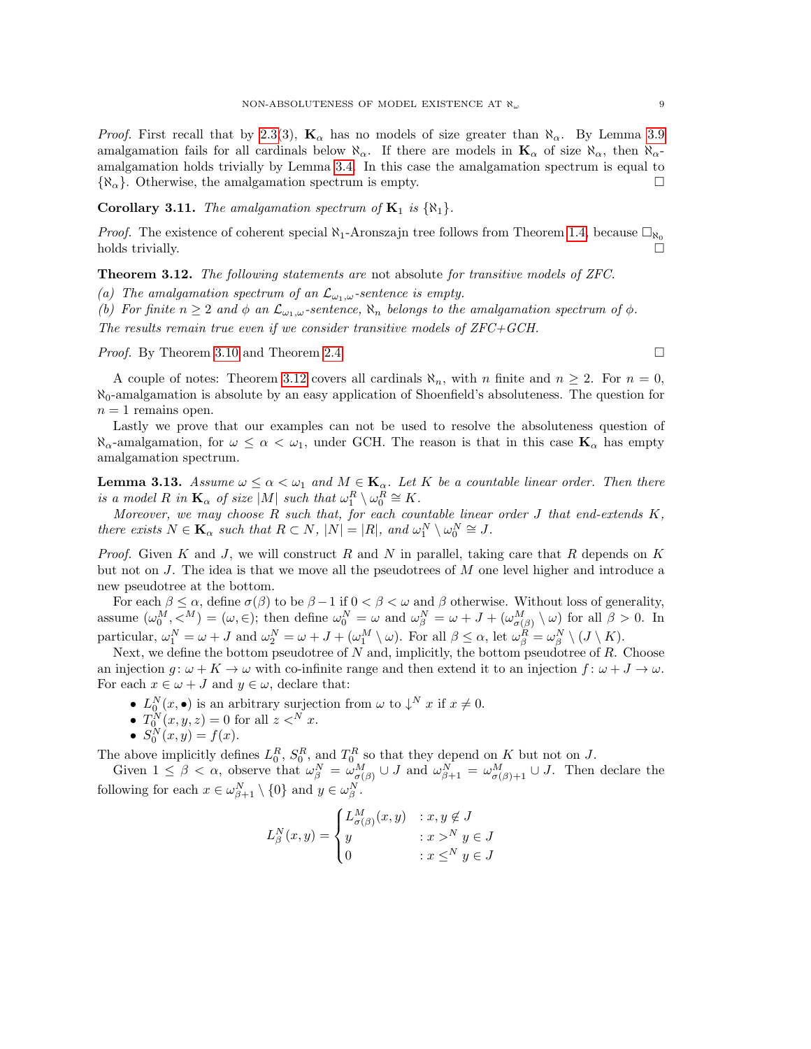*Proof.* First recall that by [2.3\(](#page-3-1)3),  $\mathbf{K}_{\alpha}$  has no models of size greater than  $\aleph_{\alpha}$ . By Lemma [3.9](#page-7-0) amalgamation fails for all cardinals below  $\aleph_{\alpha}$ . If there are models in  $\mathbf{K}_{\alpha}$  of size  $\aleph_{\alpha}$ , then  $\aleph_{\alpha}$ amalgamation holds trivially by Lemma [3.4.](#page-5-2) In this case the amalgamation spectrum is equal to  $\{\aleph_{\alpha}\}.$  Otherwise, the amalgamation spectrum is empty.

**Corollary 3.11.** The amalgamation spectrum of  $K_1$  is  $\{ \aleph_1 \}$ .

*Proof.* The existence of coherent special  $\aleph_1$ -Aronszajn tree follows from Theorem [1.4,](#page-2-0) because  $\Box_{\aleph_0}$ holds trivially.

<span id="page-8-0"></span>Theorem 3.12. The following statements are not absolute for transitive models of ZFC.

(a) The amalgamation spectrum of an  $\mathcal{L}_{\omega_1,\omega}$ -sentence is empty.

(b) For finite  $n \geq 2$  and  $\phi$  an  $\mathcal{L}_{\omega_1,\omega}$ -sentence,  $\aleph_n$  belongs to the amalgamation spectrum of  $\phi$ . The results remain true even if we consider transitive models of ZFC+GCH.

*Proof.* By Theorem [3.10](#page-7-1) and Theorem [2.4.](#page-5-0) □

A couple of notes: Theorem [3.12](#page-8-0) covers all cardinals  $\aleph_n$ , with n finite and  $n \geq 2$ . For  $n = 0$ ,  $\aleph_0$ -amalgamation is absolute by an easy application of Shoenfield's absoluteness. The question for  $n = 1$  remains open.

Lastly we prove that our examples can not be used to resolve the absoluteness question of  $\aleph_{\alpha}$ -amalgamation, for  $\omega \leq \alpha < \omega_1$ , under GCH. The reason is that in this case  $\mathbf{K}_{\alpha}$  has empty amalgamation spectrum.

<span id="page-8-1"></span>**Lemma 3.13.** Assume  $\omega \leq \alpha < \omega_1$  and  $M \in \mathbf{K}_{\alpha}$ . Let K be a countable linear order. Then there is a model R in  $\mathbf{K}_{\alpha}$  of size  $|M|$  such that  $\omega_1^R \setminus \omega_0^R \cong K$ .

Moreover, we may choose  $R$  such that, for each countable linear order  $J$  that end-extends  $K$ , there exists  $N \in \mathbf{K}_{\alpha}$  such that  $R \subset N$ ,  $|N| = |R|$ , and  $\omega_1^N \setminus \omega_0^N \cong J$ .

*Proof.* Given K and J, we will construct R and N in parallel, taking care that R depends on K but not on  $J$ . The idea is that we move all the pseudotrees of  $M$  one level higher and introduce a new pseudotree at the bottom.

For each  $\beta \leq \alpha$ , define  $\sigma(\beta)$  to be  $\beta - 1$  if  $0 < \beta < \omega$  and  $\beta$  otherwise. Without loss of generality, assume  $(\omega_0^M, \langle M \rangle = (\omega, \in);$  then define  $\omega_0^N = \omega$  and  $\omega_\beta^N = \omega + J + (\omega_{\sigma(\beta)}^M \setminus \omega)$  for all  $\beta > 0$ . In particular,  $\omega_1^N = \omega + J$  and  $\omega_2^N = \omega + J + (\omega_1^M \setminus \omega)$ . For all  $\beta \leq \alpha$ , let  $\omega_{\beta}^R = \omega_{\beta}^N \setminus (J \setminus K)$ .

Next, we define the bottom pseudotree of  $N$  and, implicitly, the bottom pseudotree of  $R$ . Choose an injection  $g: \omega + K \to \omega$  with co-infinite range and then extend it to an injection  $f: \omega + J \to \omega$ . For each  $x \in \omega + J$  and  $y \in \omega$ , declare that:

- $L_0^N(x, \bullet)$  is an arbitrary surjection from  $\omega$  to  $\downarrow^N x$  if  $x \neq 0$ .
- $T_0^N(x, y, z) = 0$  for all  $z <^N x$ .
- $S_0^N(x, y) = f(x)$ .

The above implicitly defines  $L_0^R$ ,  $S_0^R$ , and  $T_0^R$  so that they depend on K but not on J.

Given  $1 \leq \beta < \alpha$ , observe that  $\omega_{\beta}^N = \omega_{\sigma(\beta)}^M \cup J$  and  $\omega_{\beta+1}^N = \omega_{\sigma(\beta)+1}^M \cup J$ . Then declare the following for each  $x \in \omega_{\beta+1}^N \setminus \{0\}$  and  $y \in \omega_{\beta}^N$ .

$$
L_{\beta}^{N}(x,y) = \begin{cases} L_{\sigma(\beta)}^{M}(x,y) & : x, y \notin J \\ y & : x >^{N} y \in J \\ 0 & : x \leq^{N} y \in J \end{cases}
$$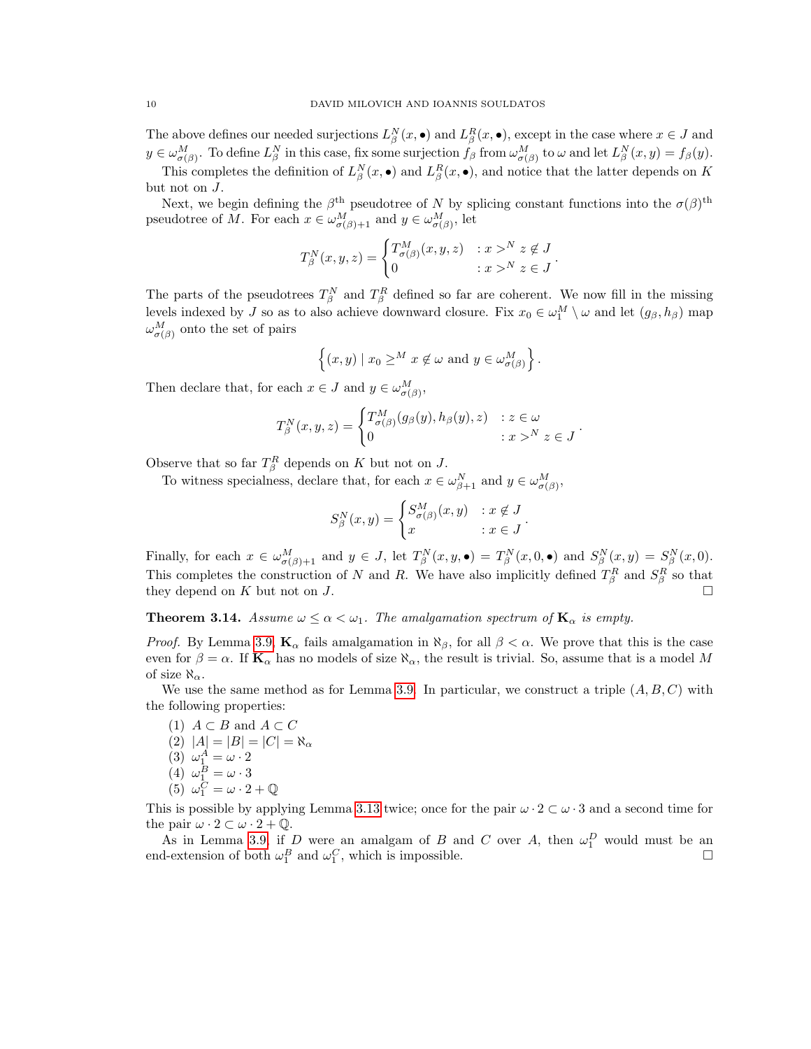The above defines our needed surjections  $L_{\beta}^{N}(x,\bullet)$  and  $L_{\beta}^{R}(x,\bullet)$ , except in the case where  $x \in J$  and  $y \in \omega_{\sigma(\beta)}^M$ . To define  $L^N_\beta$  in this case, fix some surjection  $f_\beta$  from  $\omega_{\sigma(\beta)}^M$  to  $\omega$  and let  $L^N_\beta(x,y) = f_\beta(y)$ . This completes the definition of  $L^N_\beta(x, \bullet)$  and  $L^R_\beta(x, \bullet)$ , and notice that the latter depends on K but not on J.

Next, we begin defining the  $\beta^{\text{th}}$  pseudotree of N by splicing constant functions into the  $\sigma(\beta)^{\text{th}}$ pseudotree of M. For each  $x \in \omega_{\sigma(\beta)+1}^M$  and  $y \in \omega_{\sigma(\beta)}^M$ , let

$$
T_{\beta}^{N}(x,y,z) = \begin{cases} T_{\sigma(\beta)}^{M}(x,y,z) & : x >^{N} z \notin J \\ 0 & : x >^{N} z \in J \end{cases}.
$$

The parts of the pseudotrees  $T_{\beta}^{N}$  and  $T_{\beta}^{R}$  defined so far are coherent. We now fill in the missing levels indexed by J so as to also achieve downward closure. Fix  $x_0 \in \omega_1^M \setminus \omega$  and let  $(g_\beta, h_\beta)$  map  $\omega_{\sigma(\beta)}^M$  onto the set of pairs

$$
\{(x,y) \mid x_0 \geq^M x \notin \omega \text{ and } y \in \omega_{\sigma(\beta)}^M \}.
$$

Then declare that, for each  $x \in J$  and  $y \in \omega_{\sigma(\beta)}^M$ ,

$$
T_{\beta}^{N}(x, y, z) = \begin{cases} T_{\sigma(\beta)}^{M}(g_{\beta}(y), h_{\beta}(y), z) & : z \in \omega \\ 0 & : x > N \ z \in J \end{cases}
$$

.

Observe that so far  $T_{\beta}^R$  depends on K but not on J.

To witness specialness, declare that, for each  $x \in \omega_{\beta+1}^N$  and  $y \in \omega_{\sigma(\beta)}^M$ ,

$$
S^N_{\beta}(x,y) = \begin{cases} S^M_{\sigma(\beta)}(x,y) & : x \notin J \\ x & : x \in J \end{cases}.
$$

Finally, for each  $x \in \omega_{\sigma(\beta)+1}^M$  and  $y \in J$ , let  $T_\beta^N(x, y, \bullet) = T_\beta^N(x, 0, \bullet)$  and  $S_\beta^N(x, y) = S_\beta^N(x, 0)$ . This completes the construction of N and R. We have also implicitly defined  $T_{\beta}^{R}$  and  $S_{\beta}^{R}$  so that they depend on  $K$  but not on  $J$ .

**Theorem 3.14.** Assume  $\omega \leq \alpha < \omega_1$ . The amalgamation spectrum of  $\mathbf{K}_{\alpha}$  is empty.

*Proof.* By Lemma [3.9,](#page-7-0)  $\mathbf{K}_{\alpha}$  fails amalgamation in  $\aleph_{\beta}$ , for all  $\beta < \alpha$ . We prove that this is the case even for  $\beta = \alpha$ . If  $\mathbf{K}_{\alpha}$  has no models of size  $\aleph_{\alpha}$ , the result is trivial. So, assume that is a model M of size  $\aleph_{\alpha}$ .

We use the same method as for Lemma [3.9.](#page-7-0) In particular, we construct a triple  $(A, B, C)$  with the following properties:

(1)  $A \subset B$  and  $A \subset C$ (2)  $|A| = |B| = |C| = \aleph_{\alpha}$ (3)  $\omega_1^A = \omega \cdot 2$ (4)  $\omega_1^B = \omega \cdot 3$ (5)  $\omega_1^C = \omega \cdot 2 + \mathbb{Q}$ 

This is possible by applying Lemma [3.13](#page-8-1) twice; once for the pair  $\omega \cdot 2 \subset \omega \cdot 3$  and a second time for the pair  $\omega \cdot 2 \subset \omega \cdot 2 + \mathbb{Q}$ .

As in Lemma [3.9,](#page-7-0) if D were an amalgam of B and C over A, then  $\omega_1^D$  would must be an end-extension of both  $\omega_1^B$  and  $\omega_1^C$ , which is impossible.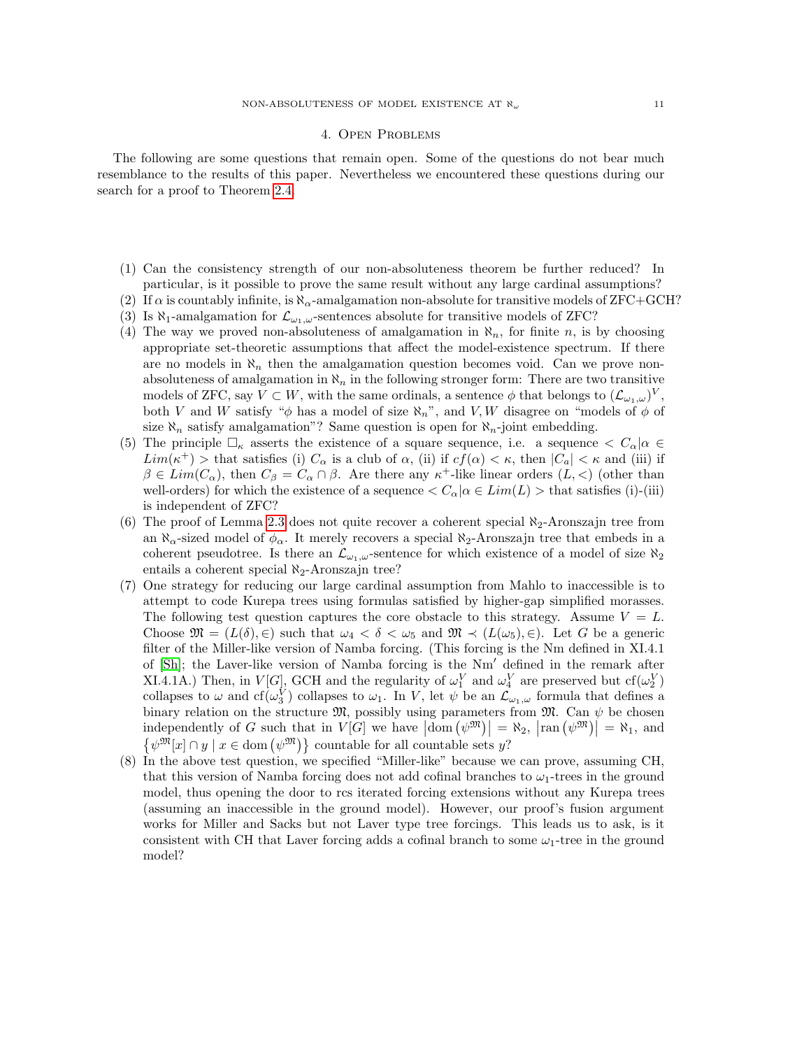### 4. Open Problems

The following are some questions that remain open. Some of the questions do not bear much resemblance to the results of this paper. Nevertheless we encountered these questions during our search for a proof to Theorem [2.4.](#page-5-0)

- (1) Can the consistency strength of our non-absoluteness theorem be further reduced? In particular, is it possible to prove the same result without any large cardinal assumptions?
- (2) If  $\alpha$  is countably infinite, is  $\aleph_{\alpha}$ -amalgamation non-absolute for transitive models of ZFC+GCH?
- (3) Is  $\aleph_1$ -amalgamation for  $\mathcal{L}_{\omega_1,\omega}$ -sentences absolute for transitive models of ZFC?
- (4) The way we proved non-absoluteness of amalgamation in  $\aleph_n$ , for finite n, is by choosing appropriate set-theoretic assumptions that affect the model-existence spectrum. If there are no models in  $\aleph_n$  then the amalgamation question becomes void. Can we prove nonabsoluteness of amalgamation in  $\aleph_n$  in the following stronger form: There are two transitive models of ZFC, say  $V \subset W$ , with the same ordinals, a sentence  $\phi$  that belongs to  $(\mathcal{L}_{\omega_1,\omega})^V$ , both V and W satisfy " $\phi$  has a model of size  $\aleph_n$ ", and V, W disagree on "models of  $\phi$  of size  $\aleph_n$  satisfy amalgamation"? Same question is open for  $\aleph_n$ -joint embedding.
- (5) The principle  $\Box_{\kappa}$  asserts the existence of a square sequence, i.e. a sequence  $\langle C_{\alpha} | \alpha \in$  $Lim(\kappa^+)$  > that satisfies (i)  $C_{\alpha}$  is a club of  $\alpha$ , (ii) if  $cf(\alpha) < \kappa$ , then  $|C_a| < \kappa$  and (iii) if  $\beta \in Lim(C_{\alpha})$ , then  $C_{\beta} = C_{\alpha} \cap \beta$ . Are there any  $\kappa^{+}$ -like linear orders  $(L, <)$  (other than well-orders) for which the existence of a sequence  $\langle C_{\alpha} | \alpha \in Lim(L) \rangle$  that satisfies (i)-(iii) is independent of ZFC?
- (6) The proof of Lemma [2.3](#page-3-1) does not quite recover a coherent special  $\aleph_2$ -Aronszajn tree from an  $\aleph_{\alpha}$ -sized model of  $\phi_{\alpha}$ . It merely recovers a special  $\aleph_2$ -Aronszajn tree that embeds in a coherent pseudotree. Is there an  $\mathcal{L}_{\omega_1,\omega}$ -sentence for which existence of a model of size  $\aleph_2$ entails a coherent special  $\aleph_2$ -Aronszajn tree?
- (7) One strategy for reducing our large cardinal assumption from Mahlo to inaccessible is to attempt to code Kurepa trees using formulas satisfied by higher-gap simplified morasses. The following test question captures the core obstacle to this strategy. Assume  $V = L$ . Choose  $\mathfrak{M} = (L(\delta), \in)$  such that  $\omega_4 < \delta < \omega_5$  and  $\mathfrak{M} \prec (L(\omega_5), \in)$ . Let G be a generic filter of the Miller-like version of Namba forcing. (This forcing is the Nm defined in XI.4.1 of  $[Sh]$ ; the Laver-like version of Namba forcing is the  $Nm'$  defined in the remark after XI.4.1A.) Then, in  $V[G]$ , GCH and the regularity of  $\omega_1^V$  and  $\omega_4^V$  are preserved but  $cf(\omega_2^V)$ collapses to  $\omega$  and  $cf(\omega_3^V)$  collapses to  $\omega_1$ . In V, let  $\psi$  be an  $\mathcal{L}_{\omega_1,\omega}$  formula that defines a binary relation on the structure  $\mathfrak{M}$ , possibly using parameters from  $\mathfrak{M}$ . Can  $\psi$  be chosen independently of G such that in  $V[G]$  we have  $|\text{dom}(\psi^{\mathfrak{M}})| = \aleph_2$ ,  $|\text{ran}(\psi^{\mathfrak{M}})| = \aleph_1$ , and  $\{\psi^{\mathfrak{M}}[x] \cap y \mid x \in \text{dom}(\psi^{\mathfrak{M}})\}\$ countable for all countable sets y?
- (8) In the above test question, we specified "Miller-like" because we can prove, assuming CH, that this version of Namba forcing does not add cofinal branches to  $\omega_1$ -trees in the ground model, thus opening the door to rcs iterated forcing extensions without any Kurepa trees (assuming an inaccessible in the ground model). However, our proof's fusion argument works for Miller and Sacks but not Laver type tree forcings. This leads us to ask, is it consistent with CH that Laver forcing adds a cofinal branch to some  $\omega_1$ -tree in the ground model?